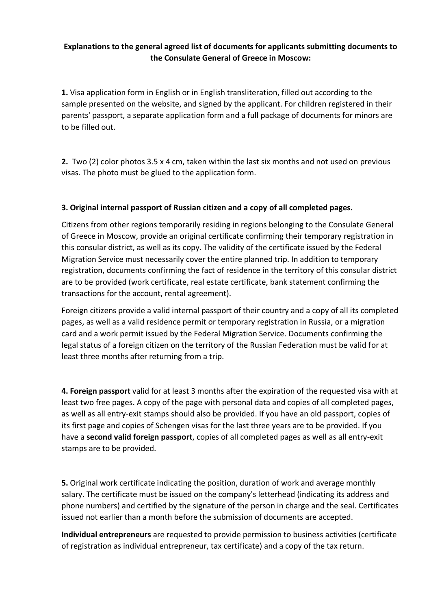# **Explanations to the general agreed list of documents for applicants submitting documents to the Consulate General of Greece in Moscow:**

**1.** Visa application form in English or in English transliteration, filled out according to the sample presented on the website, and signed by the applicant. For children registered in their parents' passport, a separate application form and a full package of documents for minors are to be filled out.

**2.** Two (2) color photos 3.5 x 4 cm, taken within the last six months and not used on previous visas. The photo must be glued to the application form.

## **3. Original internal passport of Russian citizen and a copy of all completed pages.**

Citizens from other regions temporarily residing in regions belonging to the Consulate General of Greece in Moscow, provide an original certificate confirming their temporary registration in this consular district, as well as its copy. The validity of the certificate issued by the Federal Migration Service must necessarily cover the entire planned trip. In addition to temporary registration, documents confirming the fact of residence in the territory of this consular district are to be provided (work certificate, real estate certificate, bank statement confirming the transactions for the account, rental agreement).

Foreign citizens provide a valid internal passport of their country and a copy of all its completed pages, as well as a valid residence permit or temporary registration in Russia, or a migration card and a work permit issued by the Federal Migration Service. Documents confirming the legal status of a foreign citizen on the territory of the Russian Federation must be valid for at least three months after returning from a trip.

**4. Foreign passport** valid for at least 3 months after the expiration of the requested visa with at least two free pages. A copy of the page with personal data and copies of all completed pages, as well as all entry-exit stamps should also be provided. If you have an old passport, copies of its first page and copies of Schengen visas for the last three years are to be provided. If you have a **second valid foreign passport**, copies of all completed pages as well as all entry-exit stamps are to be provided.

**5.** Original work certificate indicating the position, duration of work and average monthly salary. The certificate must be issued on the company's letterhead (indicating its address and phone numbers) and certified by the signature of the person in charge and the seal. Certificates issued not earlier than a month before the submission of documents are accepted.

**Individual entrepreneurs** are requested to provide permission to business activities (certificate of registration as individual entrepreneur, tax certificate) and a copy of the tax return.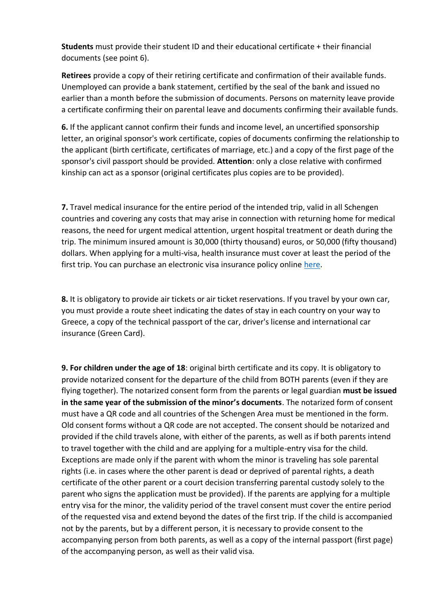**Students** must provide their student ID and their educational certificate + their financial documents (see point 6).

**Retirees** provide a copy of their retiring certificate and confirmation of their available funds. Unemployed can provide a bank statement, certified by the seal of the bank and issued no earlier than a month before the submission of documents. Persons on maternity leave provide a certificate confirming their on parental leave and documents confirming their available funds.

**6.** If the applicant cannot confirm their funds and income level, an uncertified sponsorship letter, an original sponsor's work certificate, copies of documents confirming the relationship to the applicant (birth certificate, certificates of marriage, etc.) and a copy of the first page of the sponsor's civil passport should be provided. **Attention**: only a close relative with confirmed kinship can act as a sponsor (original certificates plus copies are to be provided).

**7.** Travel medical insurance for the entire period of the intended trip, valid in all Schengen countries and covering any costs that may arise in connection with returning home for medical reasons, the need for urgent medical attention, urgent hospital treatment or death during the trip. The minimum insured amount is 30,000 (thirty thousand) euros, or 50,000 (fifty thousand) dollars. When applying for a multi-visa, health insurance must cover at least the period of the first trip. You can purchase an electronic visa insurance policy online [here.](https://www.cherehapa.ru/?partnerId=5056&country=Greece&utm_source=Greece&utm_medium=text3&utm_campaign=Vasco&utm_term=text3)

**8.** It is obligatory to provide air tickets or air ticket reservations. If you travel by your own car, you must provide a route sheet indicating the dates of stay in each country on your way to Greece, a copy of the technical passport of the car, driver's license and international car insurance (Green Card).

**9. For children under the age of 18**: original birth certificate and its copy. It is obligatory to provide notarized consent for the departure of the child from BOTH parents (even if they are flying together). The notarized consent form from the parents or legal guardian **must be issued in the same year of the submission of the minor's documents**. The notarized form of consent must have a QR code and all countries of the Schengen Area must be mentioned in the form. Old consent forms without a QR code are not accepted. The consent should be notarized and provided if the child travels alone, with either of the parents, as well as if both parents intend to travel together with the child and are applying for a multiple-entry visa for the child. Exceptions are made only if the parent with whom the minor is traveling has sole parental rights (i.e. in cases where the other parent is dead or deprived of parental rights, a death certificate of the other parent or a court decision transferring parental custody solely to the parent who signs the application must be provided). If the parents are applying for a multiple entry visa for the minor, the validity period of the travel consent must cover the entire period of the requested visa and extend beyond the dates of the first trip. If the child is accompanied not by the parents, but by a different person, it is necessary to provide consent to the accompanying person from both parents, as well as a copy of the internal passport (first page) of the accompanying person, as well as their valid visa.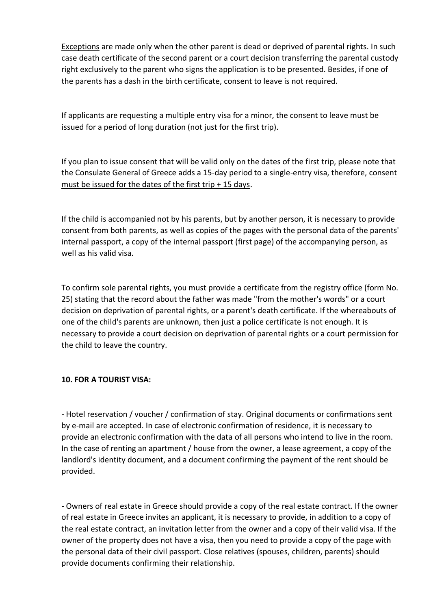Exceptions are made only when the other parent is dead or deprived of parental rights. In such case death certificate of the second parent or a court decision transferring the parental custody right exclusively to the parent who signs the application is to be presented. Besides, if one of the parents has a dash in the birth certificate, consent to leave is not required.

If applicants are requesting a multiple entry visa for a minor, the consent to leave must be issued for a period of long duration (not just for the first trip).

If you plan to issue consent that will be valid only on the dates of the first trip, please note that the Consulate General of Greece adds a 15-day period to a single-entry visa, therefore, consent must be issued for the dates of the first trip + 15 days.

If the child is accompanied not by his parents, but by another person, it is necessary to provide consent from both parents, as well as copies of the pages with the personal data of the parents' internal passport, a copy of the internal passport (first page) of the accompanying person, as well as his valid visa.

To confirm sole parental rights, you must provide a certificate from the registry office (form No. 25) stating that the record about the father was made "from the mother's words" or a court decision on deprivation of parental rights, or a parent's death certificate. If the whereabouts of one of the child's parents are unknown, then just a police certificate is not enough. It is necessary to provide a court decision on deprivation of parental rights or a court permission for the child to leave the country.

## **10. FOR A TOURIST VISA:**

- Hotel reservation / voucher / confirmation of stay. Original documents or confirmations sent by e-mail are accepted. In case of electronic confirmation of residence, it is necessary to provide an electronic confirmation with the data of all persons who intend to live in the room. In the case of renting an apartment / house from the owner, a lease agreement, a copy of the landlord's identity document, and a document confirming the payment of the rent should be provided.

- Owners of real estate in Greece should provide a copy of the real estate contract. If the owner of real estate in Greece invites an applicant, it is necessary to provide, in addition to a copy of the real estate contract, an invitation letter from the owner and a copy of their valid visa. If the owner of the property does not have a visa, then you need to provide a copy of the page with the personal data of their civil passport. Close relatives (spouses, children, parents) should provide documents confirming their relationship.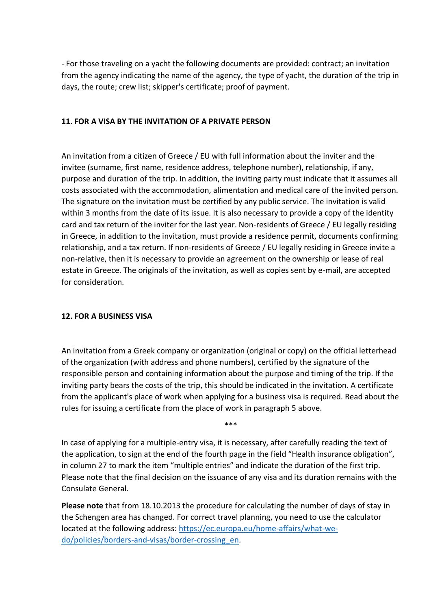- For those traveling on a yacht the following documents are provided: contract; an invitation from the agency indicating the name of the agency, the type of yacht, the duration of the trip in days, the route; crew list; skipper's certificate; proof of payment.

### **11. FOR A VISA BY THE INVITATION OF A PRIVATE PERSON**

An invitation from a citizen of Greece / EU with full information about the inviter and the invitee (surname, first name, residence address, telephone number), relationship, if any, purpose and duration of the trip. In addition, the inviting party must indicate that it assumes all costs associated with the accommodation, alimentation and medical care of the invited person. The signature on the invitation must be certified by any public service. The invitation is valid within 3 months from the date of its issue. It is also necessary to provide a copy of the identity card and tax return of the inviter for the last year. Non-residents of Greece / EU legally residing in Greece, in addition to the invitation, must provide a residence permit, documents confirming relationship, and a tax return. If non-residents of Greece / EU legally residing in Greece invite a non-relative, then it is necessary to provide an agreement on the ownership or lease of real estate in Greece. The originals of the invitation, as well as copies sent by e-mail, are accepted for consideration.

#### **12. FOR A BUSINESS VISA**

An invitation from a Greek company or organization (original or copy) on the official letterhead of the organization (with address and phone numbers), certified by the signature of the responsible person and containing information about the purpose and timing of the trip. If the inviting party bears the costs of the trip, this should be indicated in the invitation. A certificate from the applicant's place of work when applying for a business visa is required. Read about the rules for issuing a certificate from the place of work in paragraph 5 above.

\*\*\*

In case of applying for a multiple-entry visa, it is necessary, after carefully reading the text of the application, to sign at the end of the fourth page in the field "Health insurance obligation", in column 27 to mark the item "multiple entries" and indicate the duration of the first trip. Please note that the final decision on the issuance of any visa and its duration remains with the Consulate General.

**Please note** that from 18.10.2013 the procedure for calculating the number of days of stay in the Schengen area has changed. For correct travel planning, you need to use the calculator located at the following address: [https://ec.europa.eu/home-affairs/what-we](https://ec.europa.eu/home-affairs/what-we-do/policies/borders-and-visas/border-crossing_en)[do/policies/borders-and-visas/border-crossing\\_en.](https://ec.europa.eu/home-affairs/what-we-do/policies/borders-and-visas/border-crossing_en)